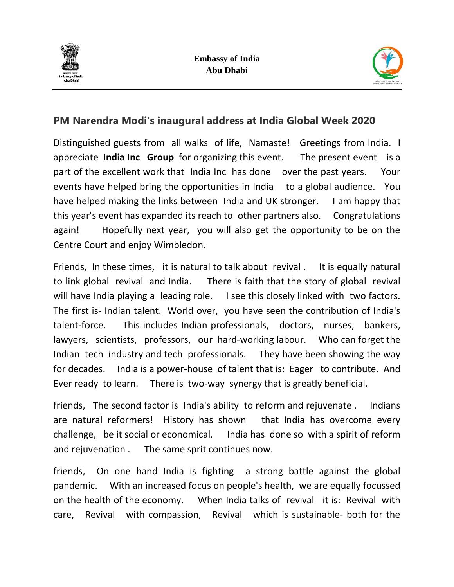



## **PM Narendra Modi's inaugural address at India Global Week 2020**

Distinguished guests from all walks of life, Namaste! Greetings from India. I appreciate **India Inc Group** for organizing this event. The present event is a part of the excellent work that India Inc has done over the past years. Your events have helped bring the opportunities in India to a global audience. You have helped making the links between India and UK stronger. I am happy that this year's event has expanded its reach to other partners also. Congratulations again! Hopefully next year, you will also get the opportunity to be on the Centre Court and enjoy Wimbledon.

Friends, In these times, it is natural to talk about revival . It is equally natural to link global revival and India. There is faith that the story of global revival will have India playing a leading role. I see this closely linked with two factors. The first is- Indian talent. World over, you have seen the contribution of India's talent-force. This includes Indian professionals, doctors, nurses, bankers, lawyers, scientists, professors, our hard-working labour. Who can forget the Indian tech industry and tech professionals. They have been showing the way for decades. India is a power-house of talent that is: Eager to contribute. And Ever ready to learn. There is two-way synergy that is greatly beneficial.

friends, The second factor is India's ability to reform and rejuvenate . Indians are natural reformers! History has shown that India has overcome every challenge, be it social or economical. India has done so with a spirit of reform and rejuvenation . The same sprit continues now.

friends, On one hand India is fighting a strong battle against the global pandemic. With an increased focus on people's health, we are equally focussed on the health of the economy. When India talks of revival it is: Revival with care, Revival with compassion, Revival which is sustainable- both for the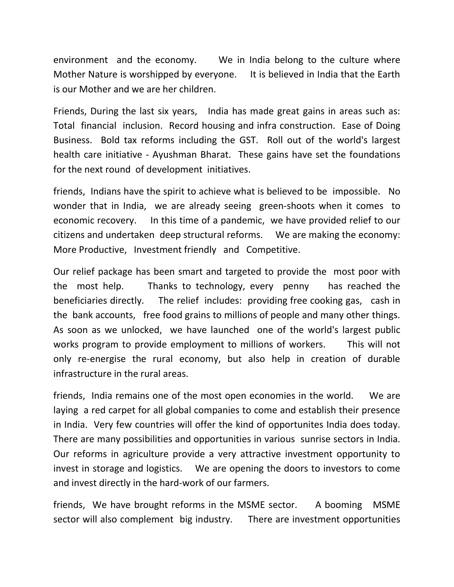environment and the economy. We in India belong to the culture where Mother Nature is worshipped by everyone. It is believed in India that the Earth is our Mother and we are her children.

Friends, During the last six years, India has made great gains in areas such as: Total financial inclusion. Record housing and infra construction. Ease of Doing Business. Bold tax reforms including the GST. Roll out of the world's largest health care initiative - Ayushman Bharat. These gains have set the foundations for the next round of development initiatives.

friends, Indians have the spirit to achieve what is believed to be impossible. No wonder that in India, we are already seeing green-shoots when it comes to economic recovery. In this time of a pandemic, we have provided relief to our citizens and undertaken deep structural reforms. We are making the economy: More Productive, Investment friendly and Competitive.

Our relief package has been smart and targeted to provide the most poor with the most help. Thanks to technology, every penny has reached the beneficiaries directly. The relief includes: providing free cooking gas, cash in the bank accounts, free food grains to millions of people and many other things. As soon as we unlocked, we have launched one of the world's largest public works program to provide employment to millions of workers. This will not only re-energise the rural economy, but also help in creation of durable infrastructure in the rural areas.

friends, India remains one of the most open economies in the world. We are laying a red carpet for all global companies to come and establish their presence in India. Very few countries will offer the kind of opportunites India does today. There are many possibilities and opportunities in various sunrise sectors in India. Our reforms in agriculture provide a very attractive investment opportunity to invest in storage and logistics. We are opening the doors to investors to come and invest directly in the hard-work of our farmers.

friends, We have brought reforms in the MSME sector. A booming MSME sector will also complement big industry. There are investment opportunities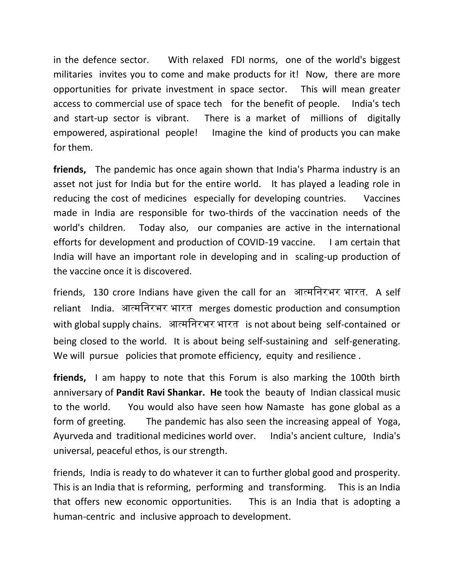in the defence sector. With relaxed FDI norms, one of the world's biggest militaries invites you to come and make products for it! Now, there are more opportunities for private investment in space sector. This will mean greater access to commercial use of space tech for the benefit of people. India's tech and start-up sector is vibrant. There is a market of millions of digitally empowered, aspirational people! Imagine the kind of products you can make for them.

**friends,** The pandemic has once again shown that India's Pharma industry is an asset not just for India but for the entire world. It has played a leading role in reducing the cost of medicines especially for developing countries. Vaccines made in India are responsible for two-thirds of the vaccination needs of the world's children. Today also, our companies are active in the international efforts for development and production of COVID-19 vaccine. I am certain that India will have an important role in developing and in scaling-up production of the vaccine once it is discovered.

friends, 130 crore Indians have given the call for an आत्मनिरभर भारत. A self reliant India. आत्मनिरभर भारत merges domestic production and consumption with global supply chains. आत्मनिरभर भारत is not about being self-contained or being closed to the world. It is about being self-sustaining and self-generating. We will pursue policies that promote efficiency, equity and resilience.

**friends,** I am happy to note that this Forum is also marking the 100th birth anniversary of **Pandit Ravi Shankar. He** took the beauty of Indian classical music to the world. You would also have seen how Namaste has gone global as a form of greeting. The pandemic has also seen the increasing appeal of Yoga, Ayurveda and traditional medicines world over. India's ancient culture, India's universal, peaceful ethos, is our strength.

friends, India is ready to do whatever it can to further global good and prosperity. This is an India that is reforming, performing and transforming. This is an India that offers new economic opportunities. This is an India that is adopting a human-centric and inclusive approach to development.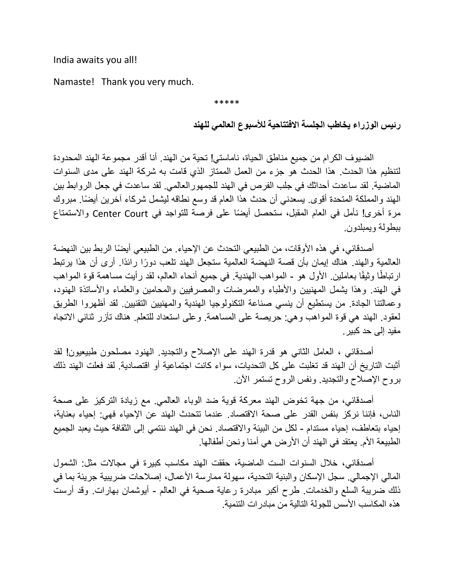India awaits you all!

Namaste! Thank you very much.

\*\*\*\*\*

**رئيس الوزراء يخاطب الجلسة االفتتاحية لألسبوع العالمي للهند**

الضيوف الكرام من جميع مناطق الحياة، ناماستي! تحية من الهند. أنا أقدر مجموعة الهند المحدودة لتنظيم هذا الحدث. هذا الحدث هو جزء من العمل الممتاز الذي قامت به شركة الهند على مدى السنوات الماضية. لقد ساعدت أحداثك في جلب الفرص في الهند للجمهورالعالمي. لقد ساعدت في جعل الروابط بين الهند والمملكة المتحدة أقوى. يسعدني أن حدث هذا العام قد وسع نطاقه ليشمل شركاء آخرين أيضًا. مبروك مرة أخرى! نأمل في العام المقبل، ستحصل أيضًا على فرصة للتواجد في Center Court والاستمتاع ببطولة ويمبلدون.

أصدقائي، في هذه الأوقات، من الطبيعي التحدث عن الإحياء. من الطبيعي أيضًا الربط بين النهضة العالمية والهند. هناك إيمان بأن قصة النهضة العالمية ستجعل الهند تلعب دورًا رائدًا. أرى أن هذا يرتبط ارتباطًا وثيقًا بعاملين الأول هو - المواهب الـهندية في جميع أنحاء العالم، لقد رأيت مساهمة قوة المواهب في الهند. وهذا يشمل المهنيين واألطباء والممرضات والمصرفيين والمحامين والعلماء واألساتذة الهنود، وعمالتنا الجادة. من يستطيع أن ينسي صناعة التكنولوجيا الهندية والمهنيين التقنيين. لقد أظهروا الطريق لعقود. الهند هي قوة المواهب وهي: حريصة على المساهمة. وعلى استعداد للتعلم. هناك تآزر ثنائي االتجاه مفيد إلى حد كبير.

أصدقائي ، العامل الثاني هو قدرة الهند على اإلصالح والتجديد. الهنود مصلحون طبيعيون! لقد أثبت التاريخ أن الهند قد تغلبت على كل التحديات، سواء كانت اجتماعية أو اقتصادية. لقد فعلت الهند ذلك بروح اإلصالح والتجديد. ونفس الروح تستمر اآلن.

أصدقائي، من جهة تخوض الهند معركة قوية ضد الوباء العالمي. مع زيادة التركيز على صحة الناس، فإننا نركز بنفس القدر على صحة االقتصاد. عندما تتحدث الهند عن اإلحياء فهي: إحياء بعناية، إحياء بتعاطف، إحياء مستدام - لكل من البيئة واالقتصاد. نحن في الهند ننتمي إلى الثقافة حيث يعبد الجميع الطبيعة الأم. يعتقد في الهند أن الأرض هي أمنا ونحن أطفالها.

أصدقائي، خالل السنوات الست الماضية، حققت الهند مكاسب كبيرة في مجاالت مثل: الشمول المالي الإجمالي. سجل الإسكان والبنية التحدية، سهولة ممارسة الأعمال، إصلاحات ضريبية جريئة بما في ذلك ضريبة السلع والخدمات. طرح أكبر مبادرة رعاية صحية في العالم - أيوشمان بهارات. وقد أرست هذه المكاسب الأسس للجولة التالية من مبادر ات التنمية.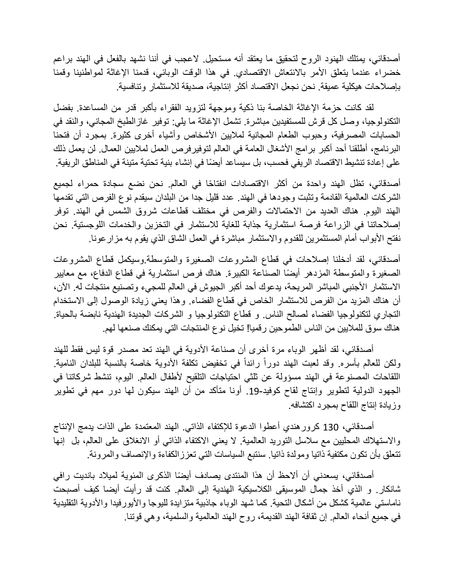أصدقائي، يمتلك الهنود الروح لتحقيق ما يعتقد أنه مستحيل. لاعجب في أننا نشهد بالفعل في الهند براعم خضراء عندما يتعلق الأمر بالانتعاش الاقتصادي. في هذا الوقت الوبائي، قدمنا الإغاثة لمواطنينا وقمنا بإصالحات هيكلية عميقة. نحن نجعل االقتصاد أكثر إنتاجية، صديقة لالستثمار وتنافسية.

لقد كانت حزمة اإلغاثة الخاصة بنا ذكية وموجهة لتزويد الفقراء بأكبر قدر من المساعدة. بفضل التكنولوجيا، وصل كل قرش للمستفيدين مباشرة. تشمل اإلغاثة ما يلي: توفير غازالطبخ المجاني، والنقد في الحسابات المصرفية، وحبوب الطعام المجانية لملايين الأشخاص وأشياء أخرى كثيرة. بمجرد أن فتحنا البرنامج، أطلقنا أحد أكبر برامج الأشغال العامة في العالم لتوفيرفرص العمل لملايين العمال. لن يعمل ذلك على إعادة تنشيط الاقتصاد الريفي فحسب، بل سيساعد أيضًا في إنشاء بنية تحتية متينة في المناطق الريفية.

أصدقائي، تظل الهند واحدة من أكثر الاقتصادات انفتاحًا في العالم. نحن نضع سجادة حمراء لجميع الشركات العالمية القادمة وتثبت وجودها في الهند. عدد قليل جدا من البلدان سيقدم نوع الفرص التي تقدمها الهند اليوم. هناك العديد من االحتماالت والفرص في مختلف قطاعات شروق الشمس في الهند. توفر إصالحاتنا في الزراعة فرصة استثمارية جذابة للغاية لالستثمار في التخزين والخدمات اللوجستية. نحن نفتح الأبواب أمام المستثمرين للقدوم والاستثمار مباشرة في العمل الشاق الذي يقوم به مزار عونا.

أصدقائي، لقد أدخلنا إصالحات في قطاع المشروعات الصغيرة والمتوسطة.وسيكمل قطاع المشروعات الصغيرة والمتوسطة المزدهر أيضًا الصناعة الكبيرة. هناك فرص استثمارية في قطاع الدفاع، مع معايير الاستثمار الأجنبي المباشر المريحة، يدعوك أحد أكبر الجيوش في العالم للمجيء وتصنيع منتجات له. الآن، أن هناك المزيد من الفرص لالستثمار الخاص في قطاع الفضاء. وهذا يعني زيادة الوصول إلى االستخدام التجاري لتكنولوجيا الفضاء لصالح الناس. و قطاع التكنولوجيا و الشركات الجديدة الهندية نابضة بالحياة. هناك سوق للماليين من الناس الطموحين رقميا! تخيل نوع المنتجات التي يمكنك صنعها لهم.

أصدقائي، لقد أظهر الوباء مرة أخرى أن صناعة الأدوية في الهند تعد مصدر قوة ليس فقط للهند ولكن للعالم بأسره. وقد لعبت الهند دوراً رائداً في تخفيض تكلفة الأدوية خاصة بالنسبة للبلدان النامية. اللقاحات المصنوعة في الهند مسؤولة عن ثلثي احتياجات التلقيح لأطفال العالم. اليوم، تنشط شركاتنا في الجهود الدولية لتطوير وإنتاج لقاح كوفيد.19- أونا متأكد من أن الهند سيكون لها دور مهم في تطوير وزيادة إنتاج اللقاح بمجرد اكتشافه.

أصدقائي، 130 كرورهندي أعطوا الدعوة لإلكتفاء الذاتي. الهند المعتمدة على الذات يدمج اإلنتاج واالستهالك المحليين مع سالسل التوريد العالمية. ال يعني االكتفاء الذاتي أو االنغالق على العالم، بل إنها تتعلق بأن تكون مكتفية ذاتيا ومولدة ذاتيا. سنتبع السياسات التي تعززالكفاءة واإلنصاف والمرونة.

أصدقائي، يسعدني أن ألاحظ أن هذا المنتدى يصادف أيضًا الذكرى المئوية لميلاد بانديت رافي شانكار. و الذي أخذ جمال الموسيقى الكالسيكية الهندية إلى العالم. كنت قد رأيت أيضا كيف أصبحت ناماستي عالمية كشكل من أشكال التحية. كما شهد الوباء جاذبية متزايدة لليوجا واأليورفيدا واألدوية التقليدية في جميع أنحاء العالم. إن ثقافة الهند القديمة، روح الهند العالمية والسلمية، وهي قوتنا.